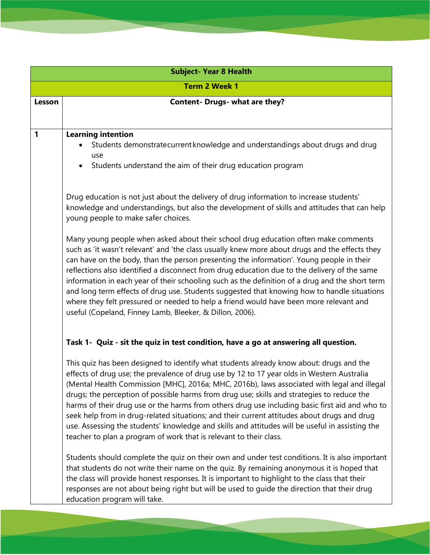| <b>Subject- Year 8 Health</b> |                                                                                                                                                                                                                                                                                                                                                                                                                                                                                                                                                                                                                                                                                                                                                              |
|-------------------------------|--------------------------------------------------------------------------------------------------------------------------------------------------------------------------------------------------------------------------------------------------------------------------------------------------------------------------------------------------------------------------------------------------------------------------------------------------------------------------------------------------------------------------------------------------------------------------------------------------------------------------------------------------------------------------------------------------------------------------------------------------------------|
| <b>Term 2 Week 1</b>          |                                                                                                                                                                                                                                                                                                                                                                                                                                                                                                                                                                                                                                                                                                                                                              |
| Lesson                        | <b>Content- Drugs- what are they?</b>                                                                                                                                                                                                                                                                                                                                                                                                                                                                                                                                                                                                                                                                                                                        |
|                               |                                                                                                                                                                                                                                                                                                                                                                                                                                                                                                                                                                                                                                                                                                                                                              |
| 1                             | <b>Learning intention</b><br>Students demonstratecurrent knowledge and understandings about drugs and drug<br>use<br>Students understand the aim of their drug education program                                                                                                                                                                                                                                                                                                                                                                                                                                                                                                                                                                             |
|                               | Drug education is not just about the delivery of drug information to increase students'<br>knowledge and understandings, but also the development of skills and attitudes that can help<br>young people to make safer choices.                                                                                                                                                                                                                                                                                                                                                                                                                                                                                                                               |
|                               | Many young people when asked about their school drug education often make comments<br>such as 'it wasn't relevant' and 'the class usually knew more about drugs and the effects they<br>can have on the body, than the person presenting the information'. Young people in their<br>reflections also identified a disconnect from drug education due to the delivery of the same<br>information in each year of their schooling such as the definition of a drug and the short term<br>and long term effects of drug use. Students suggested that knowing how to handle situations<br>where they felt pressured or needed to help a friend would have been more relevant and<br>useful (Copeland, Finney Lamb, Bleeker, & Dillon, 2006).                     |
|                               | Task 1- Quiz - sit the quiz in test condition, have a go at answering all question.                                                                                                                                                                                                                                                                                                                                                                                                                                                                                                                                                                                                                                                                          |
|                               | This quiz has been designed to identify what students already know about: drugs and the<br>effects of drug use; the prevalence of drug use by 12 to 17 year olds in Western Australia<br>(Mental Health Commission [MHC], 2016a; MHC, 2016b), laws associated with legal and illegal<br>drugs; the perception of possible harms from drug use; skills and strategies to reduce the<br>harms of their drug use or the harms from others drug use including basic first aid and who to<br>seek help from in drug-related situations; and their current attitudes about drugs and drug<br>use. Assessing the students' knowledge and skills and attitudes will be useful in assisting the<br>teacher to plan a program of work that is relevant to their class. |
|                               | Students should complete the quiz on their own and under test conditions. It is also important<br>that students do not write their name on the quiz. By remaining anonymous it is hoped that<br>the class will provide honest responses. It is important to highlight to the class that their<br>responses are not about being right but will be used to guide the direction that their drug<br>education program will take.                                                                                                                                                                                                                                                                                                                                 |